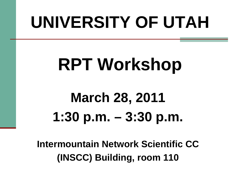# **UNIVERSITY OF UTAH**

# **RPT Workshop**

## **March 28, 2011 1:30 p.m. – 3:30 p.m.**

**Intermountain Network Scientific CC (INSCC) Building, room 110**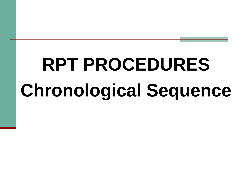# **RPT PROCEDURES Chronological Sequence**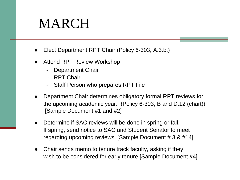#### MARCH

- Elect Department RPT Chair (Policy 6-303, A.3.b.)
- Attend RPT Review Workshop
	- Department Chair
	- RPT Chair
	- Staff Person who prepares RPT File
- Department Chair determines obligatory formal RPT reviews for the upcoming academic year. (Policy 6-303, B and D.12 (chart)) [Sample Document #1 and #2]
- Determine if SAC reviews will be done in spring or fall. If spring, send notice to SAC and Student Senator to meet regarding upcoming reviews. [Sample Document # 3 & #14]
- Chair sends memo to tenure track faculty, asking if they wish to be considered for early tenure [Sample Document #4]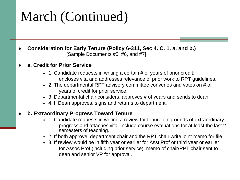#### March (Continued)

 **Consideration for Early Tenure (Policy 6-311, Sec 4. C. 1. a. and b.)** [Sample Documents #5, #6, and #7]

#### **a. Credit for Prior Service**

- » 1. Candidate requests in writing a certain # of years of prior credit; encloses vita and addresses relevance of prior work to RPT guidelines.
- » 2. The departmental RPT advisory committee convenes and votes on # of years of credit for prior service.
- » 3. Departmental chair considers, approves # of years and sends to dean.
- » 4. If Dean approves, signs and returns to department.

#### **b. Extraordinary Progress Toward Tenure**

- » 1. Candidate requests in writing a review for tenure on grounds of extraordinary progress and attaches vita. Include course evaluations for at least the last 2 semesters of teaching.
- » 2. If both approve, department chair and the RPT chair write joint memo for file.
- » 3. If review would be in fifth year or earlier for Asst Prof or third year or earlier for Assoc Prof (including prior service), memo of chair/RPT chair sent to dean and senior VP for approval.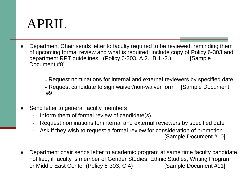#### APRIL

 Department Chair sends letter to faculty required to be reviewed, reminding them of upcoming formal review and what is required; include copy of Policy 6-303 and department RPT guidelines (Policy 6-303, A.2., B.1.-2.) [Sample Document #8]

> » Request nominations for internal and external reviewers by specified date » Request candidate to sign waiver/non-waiver form [Sample Document #9]

- Send letter to general faculty members
	- Inform them of formal review of candidate(s)
	- Request nominations for internal and external reviewers by specified date
	- Ask if they wish to request a formal review for consideration of promotion.

[Sample Document #10]

 Department chair sends letter to academic program at same time faculty candidate notified, if faculty is member of Gender Studies, Ethnic Studies, Writing Program or Middle East Center (Policy 6-303, C.4) [Sample Document #11]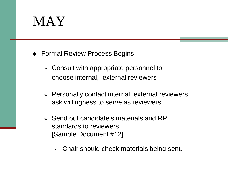#### MAY

- ◆ Formal Review Process Begins
	- » Consult with appropriate personnel to choose internal, external reviewers
	- » Personally contact internal, external reviewers, ask willingness to serve as reviewers
	- » Send out candidate's materials and RPT standards to reviewers [Sample Document #12]
		- Chair should check materials being sent.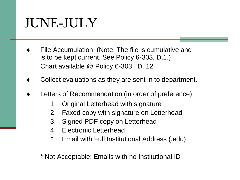#### JUNE-JULY

- File Accumulation. (Note: The file is cumulative and is to be kept current. See Policy 6-303, D.1.) Chart available @ Policy 6-303, D. 12
- Collect evaluations as they are sent in to department.
- Letters of Recommendation (in order of preference)
	- 1. Original Letterhead with signature
	- 2. Faxed copy with signature on Letterhead
	- 3. Signed PDF copy on Letterhead
	- 4. Electronic Letterhead
	- 5. Email with Full Institutional Address (.edu)

#### \* Not Acceptable: Emails with no Institutional ID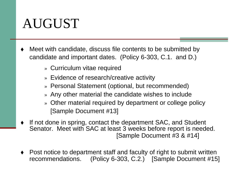#### AUGUST

- Meet with candidate, discuss file contents to be submitted by candidate and important dates. (Policy 6-303, C.1. and D.)
	- » Curriculum vitae required
	- » Evidence of research/creative activity
	- » Personal Statement (optional, but recommended)
	- » Any other material the candidate wishes to include
	- » Other material required by department or college policy [Sample Document #13]
- If not done in spring, contact the department SAC, and Student Senator. Meet with SAC at least 3 weeks before report is needed. [Sample Document #3 & #14]
- Post notice to department staff and faculty of right to submit written recommendations. (Policy 6-303, C.2.) [Sample Document #15]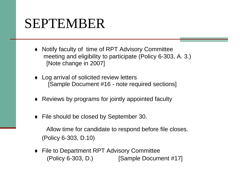#### SEPTEMBER

- Notify faculty of time of RPT Advisory Committee meeting and eligibility to participate (Policy 6-303, A. 3.) [Note change in 2007]
- Log arrival of solicited review letters [Sample Document #16 - note required sections]
- Reviews by programs for jointly appointed faculty
- File should be closed by September 30.

Allow time for candidate to respond before file closes. (Policy 6-303, D.10)

◆ File to Department RPT Advisory Committee (Policy 6-303, D.) [Sample Document #17]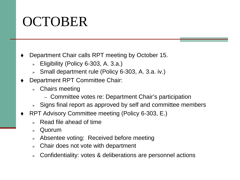#### OCTOBER

- Department Chair calls RPT meeting by October 15.
	- » Eligibility (Policy 6-303, A. 3.a.)
	- » Small department rule (Policy 6-303, A. 3.a. iv.)
- Department RPT Committee Chair:
	- » Chairs meeting
		- Committee votes re: Department Chair's participation
	- » Signs final report as approved by self and committee members
- RPT Advisory Committee meeting (Policy 6-303, E.)
	- » Read file ahead of time
	- » Quorum
	- » Absentee voting: Received before meeting
	- » Chair does not vote with department
	- » Confidentiality: votes & deliberations are personnel actions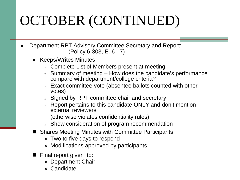### OCTOBER (CONTINUED)

- Department RPT Advisory Committee Secretary and Report: (Policy 6-303, E. 6 - 7)
	- Keeps/Writes Minutes
		- » Complete List of Members present at meeting
		- » Summary of meeting How does the candidate's performance compare with department/college criteria?
		- » Exact committee vote (absentee ballots counted with other votes)
		- » Signed by RPT committee chair and secretary
		- » Report pertains to this candidate ONLY and don't mention external reviewers

(otherwise violates confidentiality rules)

- » Show consideration of program recommendation
- Shares Meeting Minutes with Committee Participants
	- » Two to five days to respond
	- » Modifications approved by participants
- $\blacksquare$  Final report given to:
	- » Department Chair
	- » Candidate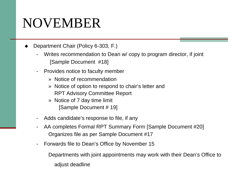#### NOVEMBER

Department Chair (Policy 6-303, F.)

- Writes recommendation to Dean w/ copy to program director, if joint [Sample Document #18]
- Provides notice to faculty member
	- » Notice of recommendation
	- » Notice of option to respond to chair's letter and RPT Advisory Committee Report
	- » Notice of 7 day time limit [Sample Document # 19]
- Adds candidate's response to file, if any
- AA completes Formal RPT Summary Form [Sample Document #20] Organizes file as per Sample Document #17
- Forwards file to Dean's Office by November 15

Departments with joint appointments may work with their Dean's Office to adjust deadline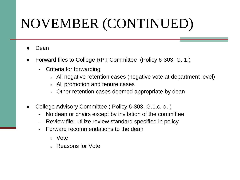### NOVEMBER (CONTINUED)

- Dean
- Forward files to College RPT Committee (Policy 6-303, G. 1.)
	- Criteria for forwarding
		- » All negative retention cases (negative vote at department level)
		- » All promotion and tenure cases
		- » Other retention cases deemed appropriate by dean
- College Advisory Committee ( Policy 6-303, G.1.c.-d. )
	- No dean or chairs except by invitation of the committee
	- Review file; utilize review standard specified in policy
	- Forward recommendations to the dean
		- » Vote
		- » Reasons for Vote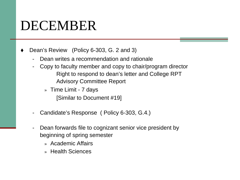#### DECEMBER

- Dean's Review (Policy 6-303, G. 2 and 3)
	- Dean writes a recommendation and rationale
	- Copy to faculty member and copy to chair/program director Right to respond to dean's letter and College RPT Advisory Committee Report
		- » Time Limit 7 days [Similar to Document #19]
	- Candidate's Response ( Policy 6-303, G.4.)
	- Dean forwards file to cognizant senior vice president by beginning of spring semester
		- » Academic Affairs
		- » Health Sciences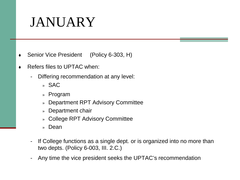#### JANUARY

- Senior Vice President (Policy 6-303, H)
- Refers files to UPTAC when:
	- Differing recommendation at any level:
		- » SAC
		- » Program
		- » Department RPT Advisory Committee
		- » Department chair
		- » College RPT Advisory Committee
		- » Dean
	- If College functions as a single dept. or is organized into no more than two depts. (Policy 6-003, III. 2.C.)
	- Any time the vice president seeks the UPTAC's recommendation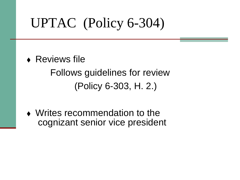### UPTAC (Policy 6-304)

◆ Reviews file

Follows guidelines for review (Policy 6-303, H. 2.)

 Writes recommendation to the cognizant senior vice president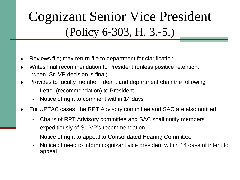#### Cognizant Senior Vice President (Policy 6-303, H. 3.-5.)

- Reviews file; may return file to department for clarification
- Writes final recommendation to President (unless positive retention, when Sr. VP decision is final)
- Provides to faculty member, dean, and department chair the following :
	- Letter (recommendation) to President
	- Notice of right to comment within 14 days
- For UPTAC cases, the RPT Advisory committee and SAC are also notified
	- Chairs of RPT Advisory committee and SAC shall notify members expeditiously of Sr. VP's recommendation
	- Notice of right to appeal to Consolidated Hearing Committee
	- Notice of need to inform cognizant vice president within 14 days of intent to appeal